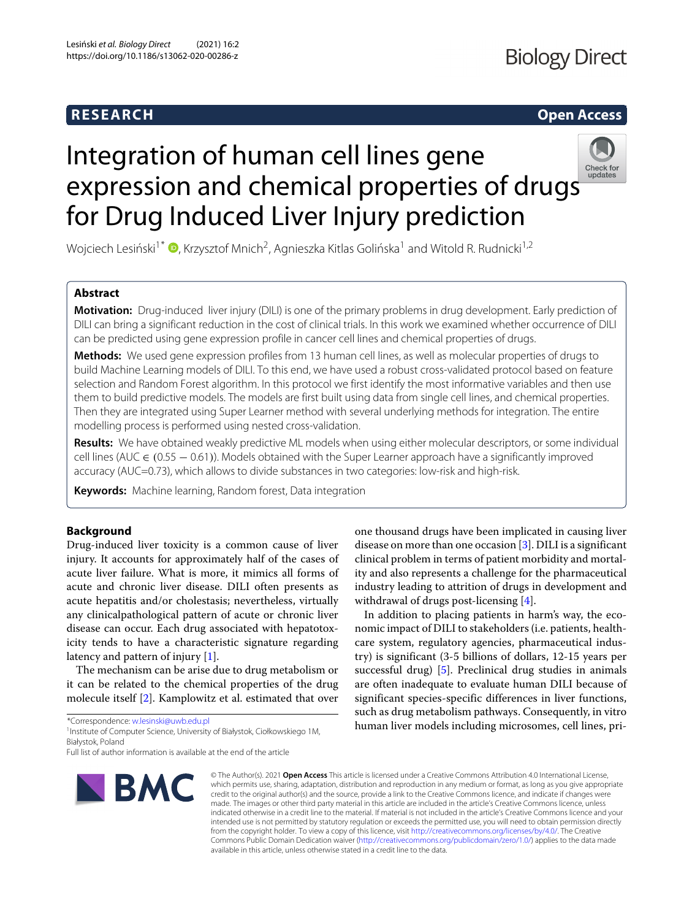# **Biology Direct**

# **RESEARCH Open Access**

# Integration of human cell lines gene expression and chemical properties of drug[s](http://crossmark.crossref.org/dialog/?doi=10.1186/s13062-020-00286-z&domain=pdf) for Drug Induced Liver Injury prediction



Wojciech Lesiński<sup>1\*</sup>  $\bullet$ [,](http://orcid.org/0000-0001-6628-9466) Krzysztof Mnich<sup>2</sup>, Agnieszka Kitlas Golińska<sup>1</sup> and Witold R. Rudnicki<sup>1,2</sup>

# **Abstract**

**Motivation:** Drug-induced liver injury (DILI) is one of the primary problems in drug development. Early prediction of DILI can bring a significant reduction in the cost of clinical trials. In this work we examined whether occurrence of DILI can be predicted using gene expression profile in cancer cell lines and chemical properties of drugs.

**Methods:** We used gene expression profiles from 13 human cell lines, as well as molecular properties of drugs to build Machine Learning models of DILI. To this end, we have used a robust cross-validated protocol based on feature selection and Random Forest algorithm. In this protocol we first identify the most informative variables and then use them to build predictive models. The models are first built using data from single cell lines, and chemical properties. Then they are integrated using Super Learner method with several underlying methods for integration. The entire modelling process is performed using nested cross-validation.

**Results:** We have obtained weakly predictive ML models when using either molecular descriptors, or some individual cell lines (AUC ∈ (0.55 − 0.61)). Models obtained with the Super Learner approach have a significantly improved accuracy (AUC=0.73), which allows to divide substances in two categories: low-risk and high-risk.

**Keywords:** Machine learning, Random forest, Data integration

# **Background**

Drug-induced liver toxicity is a common cause of liver injury. It accounts for approximately half of the cases of acute liver failure. What is more, it mimics all forms of acute and chronic liver disease. DILI often presents as acute hepatitis and/or cholestasis; nevertheless, virtually any clinicalpathological pattern of acute or chronic liver disease can occur. Each drug associated with hepatotoxicity tends to have a characteristic signature regarding latency and pattern of injury [\[1\]](#page-10-0).

The mechanism can be arise due to drug metabolism or it can be related to the chemical properties of the drug molecule itself [\[2\]](#page-10-1). Kamplowitz et al. estimated that over

\*Correspondence: [w.lesinski@uwb.edu.pl](mailto: w.lesinski@uwb.edu.pl)

1Institute of Computer Science, University of Białystok, Ciołkowskiego 1M, Białystok, Poland

Full list of author information is available at the end of the article



one thousand drugs have been implicated in causing liver disease on more than one occasion [\[3\]](#page-10-2). DILI is a significant clinical problem in terms of patient morbidity and mortality and also represents a challenge for the pharmaceutical industry leading to attrition of drugs in development and withdrawal of drugs post-licensing [\[4\]](#page-10-3).

In addition to placing patients in harm's way, the economic impact of DILI to stakeholders (i.e. patients, healthcare system, regulatory agencies, pharmaceutical industry) is significant (3-5 billions of dollars, 12-15 years per successful drug) [\[5\]](#page-10-4). Preclinical drug studies in animals are often inadequate to evaluate human DILI because of significant species-specific differences in liver functions, such as drug metabolism pathways. Consequently, in vitro human liver models including microsomes, cell lines, pri-

© The Author(s). 2021 **Open Access** This article is licensed under a Creative Commons Attribution 4.0 International License, which permits use, sharing, adaptation, distribution and reproduction in any medium or format, as long as you give appropriate credit to the original author(s) and the source, provide a link to the Creative Commons licence, and indicate if changes were made. The images or other third party material in this article are included in the article's Creative Commons licence, unless indicated otherwise in a credit line to the material. If material is not included in the article's Creative Commons licence and your intended use is not permitted by statutory regulation or exceeds the permitted use, you will need to obtain permission directly from the copyright holder. To view a copy of this licence, visit [http://creativecommons.org/licenses/by/4.0/.](http://creativecommons.org/licenses/by/4.0/) The Creative Commons Public Domain Dedication waiver [\(http://creativecommons.org/publicdomain/zero/1.0/\)](http://creativecommons.org/publicdomain/zero/1.0/) applies to the data made available in this article, unless otherwise stated in a credit line to the data.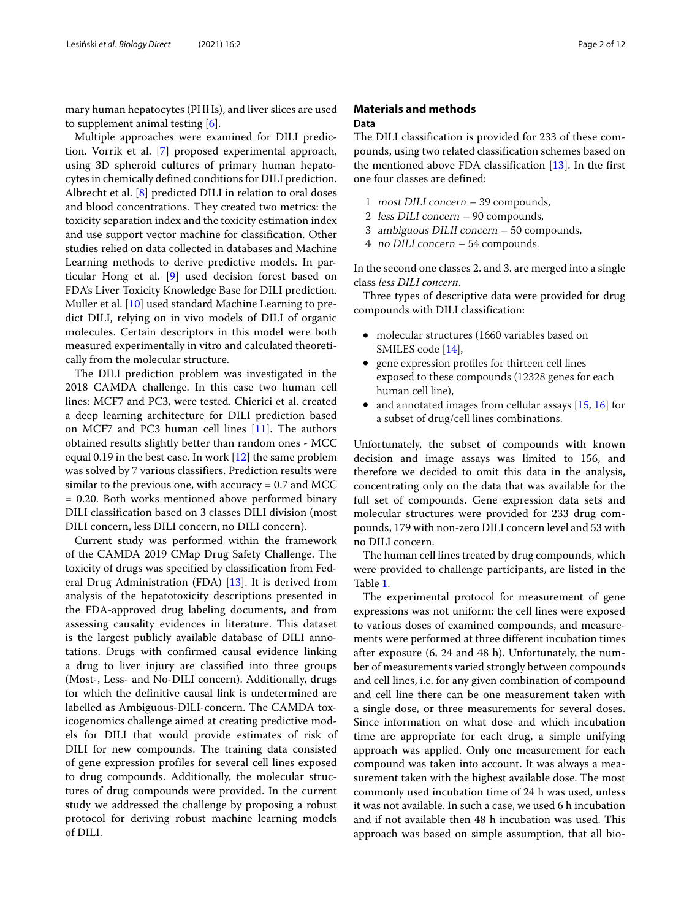mary human hepatocytes (PHHs), and liver slices are used to supplement animal testing [\[6\]](#page-10-5).

Multiple approaches were examined for DILI prediction. Vorrik et al. [\[7\]](#page-10-6) proposed experimental approach, using 3D spheroid cultures of primary human hepatocytes in chemically defined conditions for DILI prediction. Albrecht et al. [\[8\]](#page-10-7) predicted DILI in relation to oral doses and blood concentrations. They created two metrics: the toxicity separation index and the toxicity estimation index and use support vector machine for classification. Other studies relied on data collected in databases and Machine Learning methods to derive predictive models. In particular Hong et al. [\[9\]](#page-10-8) used decision forest based on FDA's Liver Toxicity Knowledge Base for DILI prediction. Muller et al. [\[10\]](#page-10-9) used standard Machine Learning to predict DILI, relying on in vivo models of DILI of organic molecules. Certain descriptors in this model were both measured experimentally in vitro and calculated theoretically from the molecular structure.

The DILI prediction problem was investigated in the 2018 CAMDA challenge. In this case two human cell lines: MCF7 and PC3, were tested. Chierici et al. created a deep learning architecture for DILI prediction based on MCF7 and PC3 human cell lines [\[11\]](#page-10-10). The authors obtained results slightly better than random ones - MCC equal 0.19 in the best case. In work  $[12]$  the same problem was solved by 7 various classifiers. Prediction results were similar to the previous one, with accuracy  $= 0.7$  and MCC = 0.20. Both works mentioned above performed binary DILI classification based on 3 classes DILI division (most DILI concern, less DILI concern, no DILI concern).

Current study was performed within the framework of the CAMDA 2019 CMap Drug Safety Challenge. The toxicity of drugs was specified by classification from Federal Drug Administration (FDA) [\[13\]](#page-10-12). It is derived from analysis of the hepatotoxicity descriptions presented in the FDA-approved drug labeling documents, and from assessing causality evidences in literature. This dataset is the largest publicly available database of DILI annotations. Drugs with confirmed causal evidence linking a drug to liver injury are classified into three groups (Most-, Less- and No-DILI concern). Additionally, drugs for which the definitive causal link is undetermined are labelled as Ambiguous-DILI-concern. The CAMDA toxicogenomics challenge aimed at creating predictive models for DILI that would provide estimates of risk of DILI for new compounds. The training data consisted of gene expression profiles for several cell lines exposed to drug compounds. Additionally, the molecular structures of drug compounds were provided. In the current study we addressed the challenge by proposing a robust protocol for deriving robust machine learning models of DILI.

# **Materials and methods Data**

The DILI classification is provided for 233 of these compounds, using two related classification schemes based on the mentioned above FDA classification  $[13]$ . In the first one four classes are defined:

- 1 most DILI concern 39 compounds,
- 2 less DILI concern 90 compounds,
- 3 ambiguous DILII concern 50 compounds,
- 4 no DILI concern 54 compounds.

In the second one classes 2. and 3. are merged into a single class *less DILI concern*.

Three types of descriptive data were provided for drug compounds with DILI classification:

- molecular structures (1660 variables based on SMILES code [\[14\]](#page-10-13),
- gene expression profiles for thirteen cell lines exposed to these compounds (12328 genes for each human cell line),
- and annotated images from cellular assays [\[15,](#page-10-14) [16\]](#page-11-0) for a subset of drug/cell lines combinations.

Unfortunately, the subset of compounds with known decision and image assays was limited to 156, and therefore we decided to omit this data in the analysis, concentrating only on the data that was available for the full set of compounds. Gene expression data sets and molecular structures were provided for 233 drug compounds, 179 with non-zero DILI concern level and 53 with no DILI concern.

The human cell lines treated by drug compounds, which were provided to challenge participants, are listed in the Table [1.](#page-2-0)

The experimental protocol for measurement of gene expressions was not uniform: the cell lines were exposed to various doses of examined compounds, and measurements were performed at three different incubation times after exposure (6, 24 and 48 h). Unfortunately, the number of measurements varied strongly between compounds and cell lines, i.e. for any given combination of compound and cell line there can be one measurement taken with a single dose, or three measurements for several doses. Since information on what dose and which incubation time are appropriate for each drug, a simple unifying approach was applied. Only one measurement for each compound was taken into account. It was always a measurement taken with the highest available dose. The most commonly used incubation time of 24 h was used, unless it was not available. In such a case, we used 6 h incubation and if not available then 48 h incubation was used. This approach was based on simple assumption, that all bio-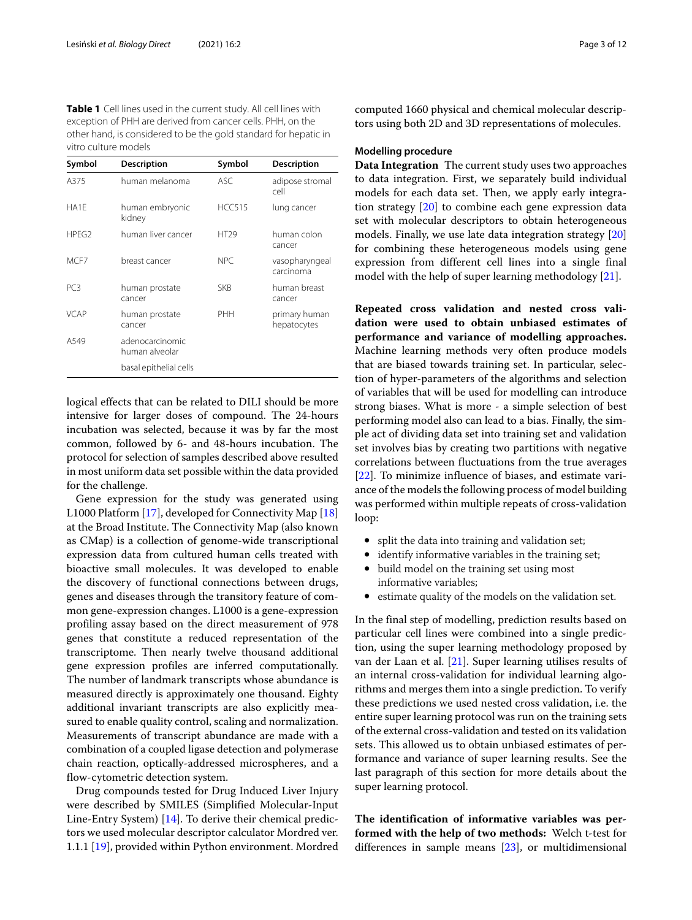<span id="page-2-0"></span>**Table 1** Cell lines used in the current study. All cell lines with exception of PHH are derived from cancer cells. PHH, on the other hand, is considered to be the gold standard for hepatic in vitro culture models

| Symbol            | <b>Description</b>                | Symbol           | <b>Description</b>           |
|-------------------|-----------------------------------|------------------|------------------------------|
| A375              | human melanoma                    | ASC.             | adipose stromal<br>cell      |
| HA1F              | human embryonic<br>kidney         | <b>HCC515</b>    | lung cancer                  |
| HPFG <sub>2</sub> | human liver cancer                | HT <sub>29</sub> | human colon<br>cancer        |
| MCF7              | breast cancer                     | NPC.             | vasopharyngeal<br>carcinoma  |
| PC3               | human prostate<br>cancer          | <b>SKB</b>       | human breast<br>cancer       |
| VCAP              | human prostate<br>cancer          | PHH              | primary human<br>hepatocytes |
| A549              | adenocarcinomic<br>human alveolar |                  |                              |
|                   | basal epithelial cells            |                  |                              |

logical effects that can be related to DILI should be more intensive for larger doses of compound. The 24-hours incubation was selected, because it was by far the most common, followed by 6- and 48-hours incubation. The protocol for selection of samples described above resulted in most uniform data set possible within the data provided for the challenge.

Gene expression for the study was generated using L1000 Platform [\[17\]](#page-11-1), developed for Connectivity Map [\[18\]](#page-11-2) at the Broad Institute. The Connectivity Map (also known as CMap) is a collection of genome-wide transcriptional expression data from cultured human cells treated with bioactive small molecules. It was developed to enable the discovery of functional connections between drugs, genes and diseases through the transitory feature of common gene-expression changes. L1000 is a gene-expression profiling assay based on the direct measurement of 978 genes that constitute a reduced representation of the transcriptome. Then nearly twelve thousand additional gene expression profiles are inferred computationally. The number of landmark transcripts whose abundance is measured directly is approximately one thousand. Eighty additional invariant transcripts are also explicitly measured to enable quality control, scaling and normalization. Measurements of transcript abundance are made with a combination of a coupled ligase detection and polymerase chain reaction, optically-addressed microspheres, and a flow-cytometric detection system.

Drug compounds tested for Drug Induced Liver Injury were described by SMILES (Simplified Molecular-Input Line-Entry System) [\[14\]](#page-10-13). To derive their chemical predictors we used molecular descriptor calculator Mordred ver. 1.1.1 [\[19\]](#page-11-3), provided within Python environment. Mordred

computed 1660 physical and chemical molecular descriptors using both 2D and 3D representations of molecules.

# **Modelling procedure**

**Data Integration** The current study uses two approaches to data integration. First, we separately build individual models for each data set. Then, we apply early integration strategy [\[20\]](#page-11-4) to combine each gene expression data set with molecular descriptors to obtain heterogeneous models. Finally, we use late data integration strategy [\[20\]](#page-11-4) for combining these heterogeneous models using gene expression from different cell lines into a single final model with the help of super learning methodology [\[21\]](#page-11-5).

**Repeated cross validation and nested cross validation were used to obtain unbiased estimates of performance and variance of modelling approaches.** Machine learning methods very often produce models that are biased towards training set. In particular, selection of hyper-parameters of the algorithms and selection of variables that will be used for modelling can introduce strong biases. What is more - a simple selection of best performing model also can lead to a bias. Finally, the simple act of dividing data set into training set and validation set involves bias by creating two partitions with negative correlations between fluctuations from the true averages [\[22\]](#page-11-6). To minimize influence of biases, and estimate variance of the models the following process of model building was performed within multiple repeats of cross-validation loop:

- split the data into training and validation set;
- identify informative variables in the training set;
- build model on the training set using most informative variables;
- estimate quality of the models on the validation set.

In the final step of modelling, prediction results based on particular cell lines were combined into a single prediction, using the super learning methodology proposed by van der Laan et al. [\[21\]](#page-11-5). Super learning utilises results of an internal cross-validation for individual learning algorithms and merges them into a single prediction. To verify these predictions we used nested cross validation, i.e. the entire super learning protocol was run on the training sets of the external cross-validation and tested on its validation sets. This allowed us to obtain unbiased estimates of performance and variance of super learning results. See the last paragraph of this section for more details about the super learning protocol.

**The identification of informative variables was performed with the help of two methods:** Welch t-test for differences in sample means [\[23\]](#page-11-7), or multidimensional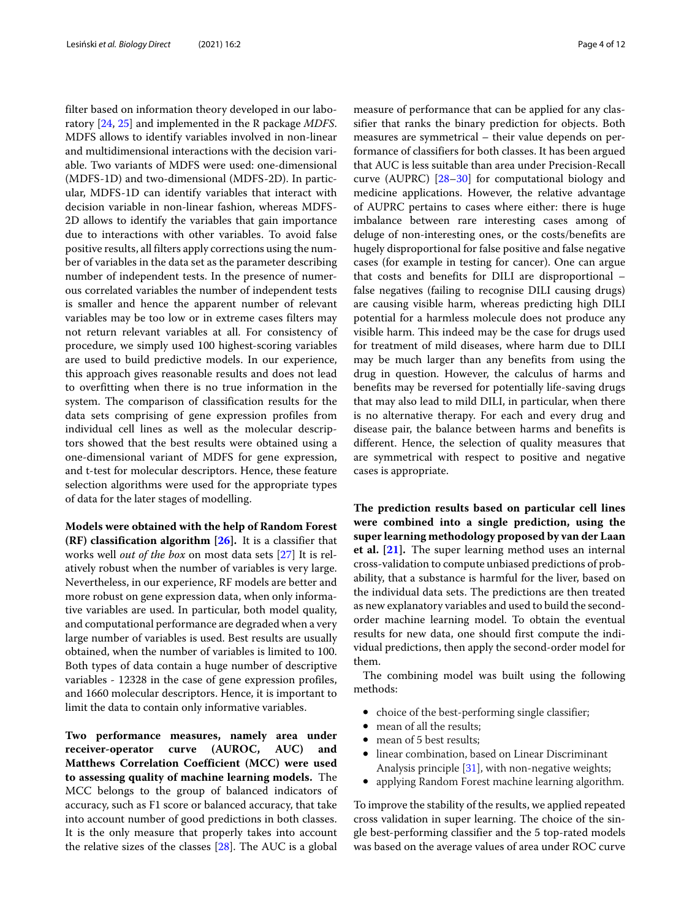filter based on information theory developed in our laboratory [\[24,](#page-11-8) [25\]](#page-11-9) and implemented in the R package *MDFS*. MDFS allows to identify variables involved in non-linear and multidimensional interactions with the decision variable. Two variants of MDFS were used: one-dimensional (MDFS-1D) and two-dimensional (MDFS-2D). In particular, MDFS-1D can identify variables that interact with decision variable in non-linear fashion, whereas MDFS-2D allows to identify the variables that gain importance due to interactions with other variables. To avoid false positive results, all filters apply corrections using the number of variables in the data set as the parameter describing number of independent tests. In the presence of numerous correlated variables the number of independent tests is smaller and hence the apparent number of relevant variables may be too low or in extreme cases filters may not return relevant variables at all. For consistency of procedure, we simply used 100 highest-scoring variables are used to build predictive models. In our experience, this approach gives reasonable results and does not lead to overfitting when there is no true information in the system. The comparison of classification results for the data sets comprising of gene expression profiles from individual cell lines as well as the molecular descriptors showed that the best results were obtained using a one-dimensional variant of MDFS for gene expression, and t-test for molecular descriptors. Hence, these feature selection algorithms were used for the appropriate types of data for the later stages of modelling.

**Models were obtained with the help of Random Forest (RF) classification algorithm [\[26\]](#page-11-10).** It is a classifier that works well *out of the box* on most data sets [\[27\]](#page-11-11) It is relatively robust when the number of variables is very large. Nevertheless, in our experience, RF models are better and more robust on gene expression data, when only informative variables are used. In particular, both model quality, and computational performance are degraded when a very large number of variables is used. Best results are usually obtained, when the number of variables is limited to 100. Both types of data contain a huge number of descriptive variables - 12328 in the case of gene expression profiles, and 1660 molecular descriptors. Hence, it is important to limit the data to contain only informative variables.

**Two performance measures, namely area under receiver-operator curve (AUROC, AUC) and Matthews Correlation Coefficient (MCC) were used to assessing quality of machine learning models.** The MCC belongs to the group of balanced indicators of accuracy, such as F1 score or balanced accuracy, that take into account number of good predictions in both classes. It is the only measure that properly takes into account the relative sizes of the classes [\[28\]](#page-11-12). The AUC is a global

measure of performance that can be applied for any classifier that ranks the binary prediction for objects. Both measures are symmetrical – their value depends on performance of classifiers for both classes. It has been argued that AUC is less suitable than area under Precision-Recall curve (AUPRC) [\[28–](#page-11-12)[30\]](#page-11-13) for computational biology and medicine applications. However, the relative advantage of AUPRC pertains to cases where either: there is huge imbalance between rare interesting cases among of deluge of non-interesting ones, or the costs/benefits are hugely disproportional for false positive and false negative cases (for example in testing for cancer). One can argue that costs and benefits for DILI are disproportional – false negatives (failing to recognise DILI causing drugs) are causing visible harm, whereas predicting high DILI potential for a harmless molecule does not produce any visible harm. This indeed may be the case for drugs used for treatment of mild diseases, where harm due to DILI may be much larger than any benefits from using the drug in question. However, the calculus of harms and benefits may be reversed for potentially life-saving drugs that may also lead to mild DILI, in particular, when there is no alternative therapy. For each and every drug and disease pair, the balance between harms and benefits is different. Hence, the selection of quality measures that are symmetrical with respect to positive and negative cases is appropriate.

**The prediction results based on particular cell lines were combined into a single prediction, using the super learning methodology proposed by van der Laan et al. [\[21\]](#page-11-5).** The super learning method uses an internal cross-validation to compute unbiased predictions of probability, that a substance is harmful for the liver, based on the individual data sets. The predictions are then treated as new explanatory variables and used to build the secondorder machine learning model. To obtain the eventual results for new data, one should first compute the individual predictions, then apply the second-order model for them.

The combining model was built using the following methods:

- choice of the best-performing single classifier;
- mean of all the results;
- mean of 5 best results:
- linear combination, based on Linear Discriminant Analysis principle [\[31\]](#page-11-14), with non-negative weights;
- applying Random Forest machine learning algorithm.

To improve the stability of the results, we applied repeated cross validation in super learning. The choice of the single best-performing classifier and the 5 top-rated models was based on the average values of area under ROC curve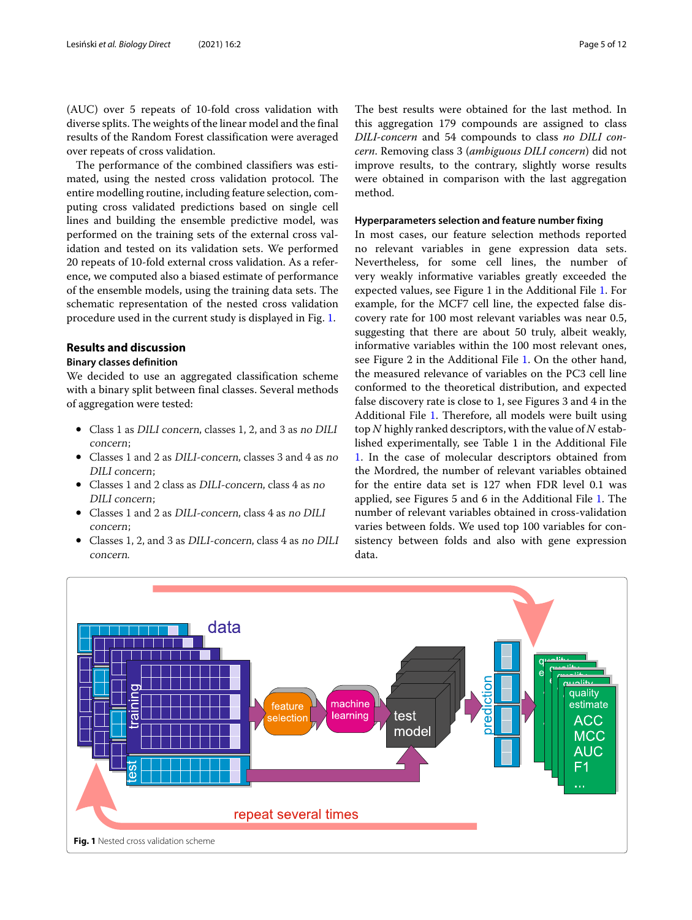(AUC) over 5 repeats of 10-fold cross validation with diverse splits. The weights of the linear model and the final results of the Random Forest classification were averaged over repeats of cross validation.

The performance of the combined classifiers was estimated, using the nested cross validation protocol. The entire modelling routine, including feature selection, computing cross validated predictions based on single cell lines and building the ensemble predictive model, was performed on the training sets of the external cross validation and tested on its validation sets. We performed 20 repeats of 10-fold external cross validation. As a reference, we computed also a biased estimate of performance of the ensemble models, using the training data sets. The schematic representation of the nested cross validation procedure used in the current study is displayed in Fig. [1.](#page-4-0)

# **Results and discussion**

# **Binary classes definition**

We decided to use an aggregated classification scheme with a binary split between final classes. Several methods of aggregation were tested:

- Class 1 as DILI concern, classes 1, 2, and 3 as no DILI concern;
- Classes 1 and 2 as DILI-concern, classes 3 and 4 as no DILI concern;
- Classes 1 and 2 class as DILI-concern, class 4 as no DILI concern;
- Classes 1 and 2 as DILI-concern, class 4 as no DILI concern;
- Classes 1, 2, and 3 as DILI-concern, class 4 as no DILI concern.

The best results were obtained for the last method. In this aggregation 179 compounds are assigned to class *DILI-concern* and 54 compounds to class *no DILI concern*. Removing class 3 (*ambiguous DILI concern*) did not improve results, to the contrary, slightly worse results were obtained in comparison with the last aggregation method.

# **Hyperparameters selection and feature number fixing**

In most cases, our feature selection methods reported no relevant variables in gene expression data sets. Nevertheless, for some cell lines, the number of very weakly informative variables greatly exceeded the expected values, see Figure 1 in the Additional File [1.](#page-10-15) For example, for the MCF7 cell line, the expected false discovery rate for 100 most relevant variables was near 0.5, suggesting that there are about 50 truly, albeit weakly, informative variables within the 100 most relevant ones, see Figure 2 in the Additional File [1.](#page-10-15) On the other hand, the measured relevance of variables on the PC3 cell line conformed to the theoretical distribution, and expected false discovery rate is close to 1, see Figures 3 and 4 in the Additional File [1.](#page-10-15) Therefore, all models were built using top *N* highly ranked descriptors, with the value of *N* established experimentally, see Table 1 in the Additional File [1.](#page-10-15) In the case of molecular descriptors obtained from the Mordred, the number of relevant variables obtained for the entire data set is 127 when FDR level 0.1 was applied, see Figures 5 and 6 in the Additional File [1.](#page-10-15) The number of relevant variables obtained in cross-validation varies between folds. We used top 100 variables for consistency between folds and also with gene expression data.

<span id="page-4-0"></span>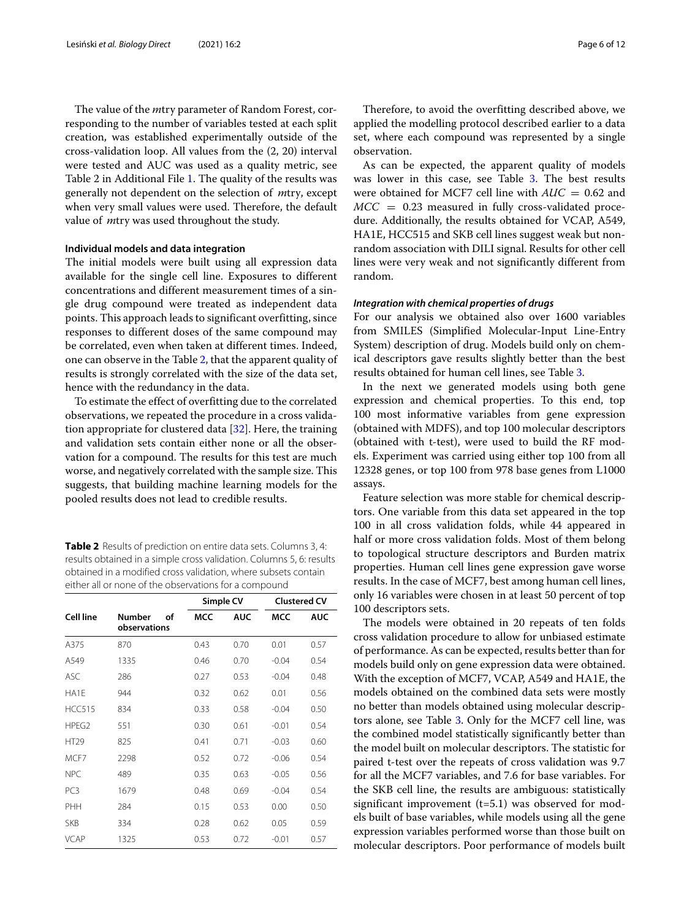The value of the *m*try parameter of Random Forest, corresponding to the number of variables tested at each split creation, was established experimentally outside of the cross-validation loop. All values from the (2, 20) interval were tested and AUC was used as a quality metric, see Table 2 in Additional File [1.](#page-10-15) The quality of the results was generally not dependent on the selection of *m*try, except when very small values were used. Therefore, the default value of *m*try was used throughout the study.

#### **Individual models and data integration**

The initial models were built using all expression data available for the single cell line. Exposures to different concentrations and different measurement times of a single drug compound were treated as independent data points. This approach leads to significant overfitting, since responses to different doses of the same compound may be correlated, even when taken at different times. Indeed, one can observe in the Table [2,](#page-5-0) that the apparent quality of results is strongly correlated with the size of the data set, hence with the redundancy in the data.

To estimate the effect of overfitting due to the correlated observations, we repeated the procedure in a cross validation appropriate for clustered data [\[32\]](#page-11-15). Here, the training and validation sets contain either none or all the observation for a compound. The results for this test are much worse, and negatively correlated with the sample size. This suggests, that building machine learning models for the pooled results does not lead to credible results.

<span id="page-5-0"></span>**Table 2** Results of prediction on entire data sets. Columns 3, 4: results obtained in a simple cross validation. Columns 5, 6: results obtained in a modified cross validation, where subsets contain either all or none of the observations for a compound

|                   |                                     | Simple CV  |            | <b>Clustered CV</b> |            |
|-------------------|-------------------------------------|------------|------------|---------------------|------------|
| Cell line         | <b>Number</b><br>οf<br>observations | <b>MCC</b> | <b>AUC</b> | <b>MCC</b>          | <b>AUC</b> |
| A375              | 870                                 | 0.43       | 0.70       | 0.01                | 0.57       |
| A549              | 1335                                | 0.46       | 0.70       | $-0.04$             | 0.54       |
| <b>ASC</b>        | 286                                 | 0.27       | 0.53       | $-0.04$             | 0.48       |
| HA1E              | 944                                 | 0.32       | 0.62       | 0.01                | 0.56       |
| <b>HCC515</b>     | 834                                 | 0.33       | 0.58       | $-0.04$             | 0.50       |
| HPEG <sub>2</sub> | 551                                 | 0.30       | 0.61       | $-0.01$             | 0.54       |
| <b>HT29</b>       | 825                                 | 0.41       | 0.71       | $-0.03$             | 0.60       |
| MCF7              | 2298                                | 0.52       | 0.72       | $-0.06$             | 0.54       |
| <b>NPC</b>        | 489                                 | 0.35       | 0.63       | $-0.05$             | 0.56       |
| PC <sub>3</sub>   | 1679                                | 0.48       | 0.69       | $-0.04$             | 0.54       |
| PHH               | 284                                 | 0.15       | 0.53       | 0.00                | 0.50       |
| <b>SKB</b>        | 334                                 | 0.28       | 0.62       | 0.05                | 0.59       |
| VCAP              | 1325                                | 0.53       | 0.72       | $-0.01$             | 0.57       |

Therefore, to avoid the overfitting described above, we applied the modelling protocol described earlier to a data set, where each compound was represented by a single observation.

As can be expected, the apparent quality of models was lower in this case, see Table [3.](#page-6-0) The best results were obtained for MCF7 cell line with *AUC* = 0.62 and  $MCC = 0.23$  measured in fully cross-validated procedure. Additionally, the results obtained for VCAP, A549, HA1E, HCC515 and SKB cell lines suggest weak but nonrandom association with DILI signal. Results for other cell lines were very weak and not significantly different from random.

# *Integration with chemical properties of drugs*

For our analysis we obtained also over 1600 variables from SMILES (Simplified Molecular-Input Line-Entry System) description of drug. Models build only on chemical descriptors gave results slightly better than the best results obtained for human cell lines, see Table [3.](#page-6-0)

In the next we generated models using both gene expression and chemical properties. To this end, top 100 most informative variables from gene expression (obtained with MDFS), and top 100 molecular descriptors (obtained with t-test), were used to build the RF models. Experiment was carried using either top 100 from all 12328 genes, or top 100 from 978 base genes from L1000 assays.

Feature selection was more stable for chemical descriptors. One variable from this data set appeared in the top 100 in all cross validation folds, while 44 appeared in half or more cross validation folds. Most of them belong to topological structure descriptors and Burden matrix properties. Human cell lines gene expression gave worse results. In the case of MCF7, best among human cell lines, only 16 variables were chosen in at least 50 percent of top 100 descriptors sets.

The models were obtained in 20 repeats of ten folds cross validation procedure to allow for unbiased estimate of performance. As can be expected, results better than for models build only on gene expression data were obtained. With the exception of MCF7, VCAP, A549 and HA1E, the models obtained on the combined data sets were mostly no better than models obtained using molecular descriptors alone, see Table [3.](#page-6-0) Only for the MCF7 cell line, was the combined model statistically significantly better than the model built on molecular descriptors. The statistic for paired t-test over the repeats of cross validation was 9.7 for all the MCF7 variables, and 7.6 for base variables. For the SKB cell line, the results are ambiguous: statistically significant improvement (t=5.1) was observed for models built of base variables, while models using all the gene expression variables performed worse than those built on molecular descriptors. Poor performance of models built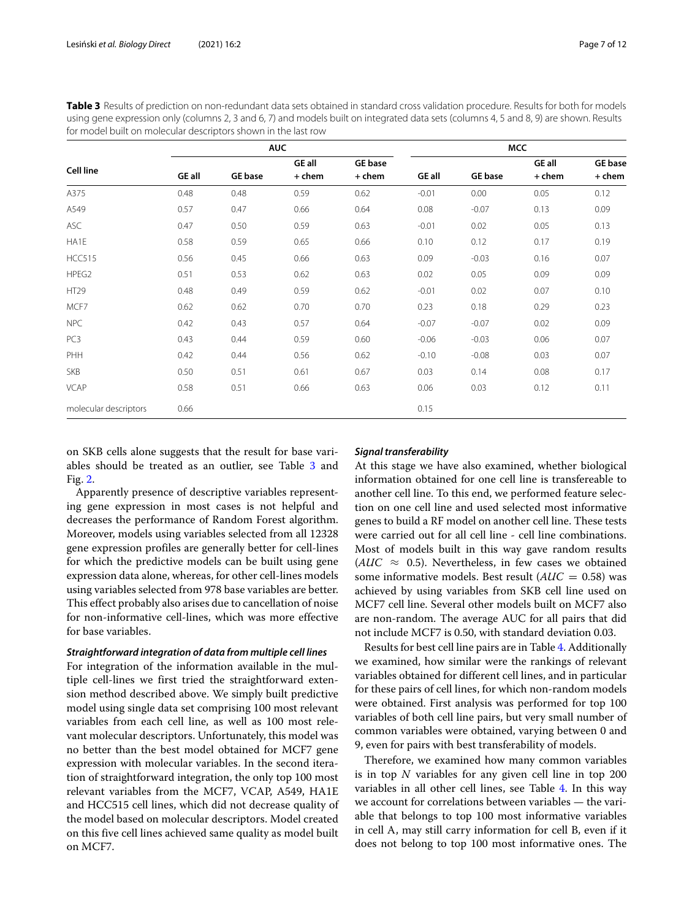<span id="page-6-0"></span>**Table 3** Results of prediction on non-redundant data sets obtained in standard cross validation procedure. Results for both for models using gene expression only (columns 2, 3 and 6, 7) and models built on integrated data sets (columns 4, 5 and 8, 9) are shown. Results for model built on molecular descriptors shown in the last row

|                       | <b>AUC</b>    |                |               |                | <b>MCC</b>    |                |               |                |
|-----------------------|---------------|----------------|---------------|----------------|---------------|----------------|---------------|----------------|
| <b>Cell line</b>      |               |                | <b>GE all</b> | <b>GE</b> base |               |                | <b>GE all</b> | <b>GE</b> base |
|                       | <b>GE all</b> | <b>GE</b> base | + chem        | + chem         | <b>GE all</b> | <b>GE</b> base | + chem        | + chem         |
| A375                  | 0.48          | 0.48           | 0.59          | 0.62           | $-0.01$       | 0.00           | 0.05          | 0.12           |
| A549                  | 0.57          | 0.47           | 0.66          | 0.64           | 0.08          | $-0.07$        | 0.13          | 0.09           |
| <b>ASC</b>            | 0.47          | 0.50           | 0.59          | 0.63           | $-0.01$       | 0.02           | 0.05          | 0.13           |
| HA1E                  | 0.58          | 0.59           | 0.65          | 0.66           | 0.10          | 0.12           | 0.17          | 0.19           |
| <b>HCC515</b>         | 0.56          | 0.45           | 0.66          | 0.63           | 0.09          | $-0.03$        | 0.16          | 0.07           |
| HPEG2                 | 0.51          | 0.53           | 0.62          | 0.63           | 0.02          | 0.05           | 0.09          | 0.09           |
| HT29                  | 0.48          | 0.49           | 0.59          | 0.62           | $-0.01$       | 0.02           | 0.07          | 0.10           |
| MCF7                  | 0.62          | 0.62           | 0.70          | 0.70           | 0.23          | 0.18           | 0.29          | 0.23           |
| <b>NPC</b>            | 0.42          | 0.43           | 0.57          | 0.64           | $-0.07$       | $-0.07$        | 0.02          | 0.09           |
| PC <sub>3</sub>       | 0.43          | 0.44           | 0.59          | 0.60           | $-0.06$       | $-0.03$        | 0.06          | 0.07           |
| PHH                   | 0.42          | 0.44           | 0.56          | 0.62           | $-0.10$       | $-0.08$        | 0.03          | 0.07           |
| <b>SKB</b>            | 0.50          | 0.51           | 0.61          | 0.67           | 0.03          | 0.14           | 0.08          | 0.17           |
| <b>VCAP</b>           | 0.58          | 0.51           | 0.66          | 0.63           | 0.06          | 0.03           | 0.12          | 0.11           |
| molecular descriptors | 0.66          |                |               |                | 0.15          |                |               |                |

on SKB cells alone suggests that the result for base variables should be treated as an outlier, see Table [3](#page-6-0) and Fig. [2.](#page-7-0)

Apparently presence of descriptive variables representing gene expression in most cases is not helpful and decreases the performance of Random Forest algorithm. Moreover, models using variables selected from all 12328 gene expression profiles are generally better for cell-lines for which the predictive models can be built using gene expression data alone, whereas, for other cell-lines models using variables selected from 978 base variables are better. This effect probably also arises due to cancellation of noise for non-informative cell-lines, which was more effective for base variables.

#### *Straightforward integration of data from multiple cell lines*

For integration of the information available in the multiple cell-lines we first tried the straightforward extension method described above. We simply built predictive model using single data set comprising 100 most relevant variables from each cell line, as well as 100 most relevant molecular descriptors. Unfortunately, this model was no better than the best model obtained for MCF7 gene expression with molecular variables. In the second iteration of straightforward integration, the only top 100 most relevant variables from the MCF7, VCAP, A549, HA1E and HCC515 cell lines, which did not decrease quality of the model based on molecular descriptors. Model created on this five cell lines achieved same quality as model built on MCF7.

### *Signal transferability*

At this stage we have also examined, whether biological information obtained for one cell line is transfereable to another cell line. To this end, we performed feature selection on one cell line and used selected most informative genes to build a RF model on another cell line. These tests were carried out for all cell line - cell line combinations. Most of models built in this way gave random results ( $AUC \approx 0.5$ ). Nevertheless, in few cases we obtained some informative models. Best result (*AUC* = 0.58) was achieved by using variables from SKB cell line used on MCF7 cell line. Several other models built on MCF7 also are non-random. The average AUC for all pairs that did not include MCF7 is 0.50, with standard deviation 0.03.

Results for best cell line pairs are in Table [4.](#page-7-1) Additionally we examined, how similar were the rankings of relevant variables obtained for different cell lines, and in particular for these pairs of cell lines, for which non-random models were obtained. First analysis was performed for top 100 variables of both cell line pairs, but very small number of common variables were obtained, varying between 0 and 9, even for pairs with best transferability of models.

Therefore, we examined how many common variables is in top *N* variables for any given cell line in top 200 variables in all other cell lines, see Table [4.](#page-7-1) In this way we account for correlations between variables — the variable that belongs to top 100 most informative variables in cell A, may still carry information for cell B, even if it does not belong to top 100 most informative ones. The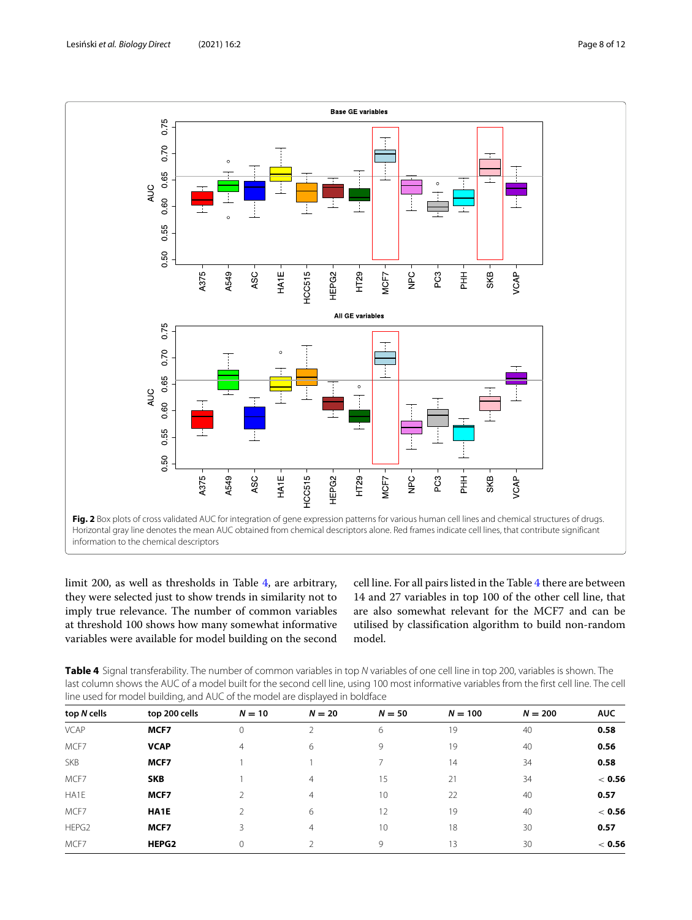

<span id="page-7-0"></span>limit 200, as well as thresholds in Table [4,](#page-7-1) are arbitrary, they were selected just to show trends in similarity not to imply true relevance. The number of common variables at threshold 100 shows how many somewhat informative variables were available for model building on the second cell line. For all pairs listed in the Table [4](#page-7-1) there are between 14 and 27 variables in top 100 of the other cell line, that are also somewhat relevant for the MCF7 and can be utilised by classification algorithm to build non-random model.

<span id="page-7-1"></span>Table 4 Signal transferability. The number of common variables in top N variables of one cell line in top 200, variables is shown. The last column shows the AUC of a model built for the second cell line, using 100 most informative variables from the first cell line. The cell line used for model building, and AUC of the model are displayed in boldface

| top N cells | top 200 cells | $N = 10$       | $N = 20$       | $N = 50$ | $N = 100$ | $N = 200$ | <b>AUC</b> |
|-------------|---------------|----------------|----------------|----------|-----------|-----------|------------|
| <b>VCAP</b> | MCF7          | $\mathbf{0}$   |                | 6        | 19        | 40        | 0.58       |
| MCF7        | <b>VCAP</b>   | $\overline{4}$ | 6              | 9        | 19        | 40        | 0.56       |
| <b>SKB</b>  | MCF7          |                |                |          | 14        | 34        | 0.58       |
| MCF7        | <b>SKB</b>    |                | $\overline{4}$ | 15       | 21        | 34        | $<$ 0.56   |
| HA1E        | MCF7          |                | $\overline{4}$ | 10       | 22        | 40        | 0.57       |
| MCF7        | HA1E          |                | 6              | 12       | 19        | 40        | $<$ 0.56   |
| HEPG2       | MCF7          | 3              | 4              | 10       | 18        | 30        | 0.57       |
| MCF7        | HEPG2         | $\Omega$       |                | 9        | 13        | 30        | < 0.56     |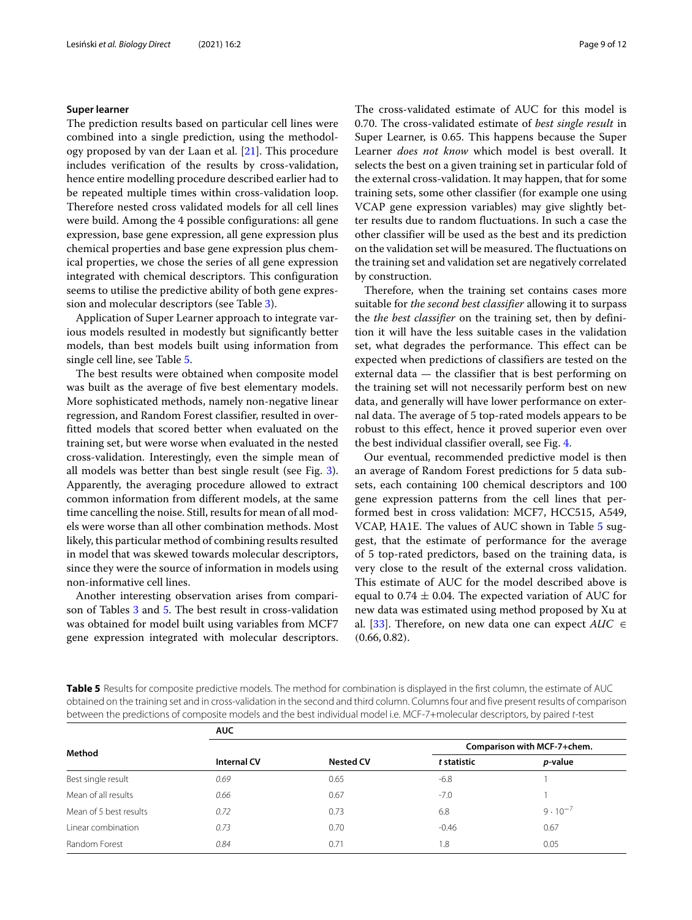#### **Super learner**

The prediction results based on particular cell lines were combined into a single prediction, using the methodology proposed by van der Laan et al. [\[21\]](#page-11-5). This procedure includes verification of the results by cross-validation, hence entire modelling procedure described earlier had to be repeated multiple times within cross-validation loop. Therefore nested cross validated models for all cell lines were build. Among the 4 possible configurations: all gene expression, base gene expression, all gene expression plus chemical properties and base gene expression plus chemical properties, we chose the series of all gene expression integrated with chemical descriptors. This configuration seems to utilise the predictive ability of both gene expression and molecular descriptors (see Table [3\)](#page-6-0).

Application of Super Learner approach to integrate various models resulted in modestly but significantly better models, than best models built using information from single cell line, see Table [5.](#page-8-0)

The best results were obtained when composite model was built as the average of five best elementary models. More sophisticated methods, namely non-negative linear regression, and Random Forest classifier, resulted in overfitted models that scored better when evaluated on the training set, but were worse when evaluated in the nested cross-validation. Interestingly, even the simple mean of all models was better than best single result (see Fig. [3\)](#page-9-0). Apparently, the averaging procedure allowed to extract common information from different models, at the same time cancelling the noise. Still, results for mean of all models were worse than all other combination methods. Most likely, this particular method of combining results resulted in model that was skewed towards molecular descriptors, since they were the source of information in models using non-informative cell lines.

Another interesting observation arises from comparison of Tables [3](#page-6-0) and [5.](#page-8-0) The best result in cross-validation was obtained for model built using variables from MCF7 gene expression integrated with molecular descriptors. The cross-validated estimate of AUC for this model is 0.70. The cross-validated estimate of *best single result* in Super Learner, is 0.65. This happens because the Super Learner *does not know* which model is best overall. It selects the best on a given training set in particular fold of the external cross-validation. It may happen, that for some training sets, some other classifier (for example one using VCAP gene expression variables) may give slightly better results due to random fluctuations. In such a case the other classifier will be used as the best and its prediction on the validation set will be measured. The fluctuations on the training set and validation set are negatively correlated by construction.

Therefore, when the training set contains cases more suitable for *the second best classifier* allowing it to surpass the *the best classifier* on the training set, then by definition it will have the less suitable cases in the validation set, what degrades the performance. This effect can be expected when predictions of classifiers are tested on the external data — the classifier that is best performing on the training set will not necessarily perform best on new data, and generally will have lower performance on external data. The average of 5 top-rated models appears to be robust to this effect, hence it proved superior even over the best individual classifier overall, see Fig. [4.](#page-9-1)

Our eventual, recommended predictive model is then an average of Random Forest predictions for 5 data subsets, each containing 100 chemical descriptors and 100 gene expression patterns from the cell lines that performed best in cross validation: MCF7, HCC515, A549, VCAP, HA1E. The values of AUC shown in Table [5](#page-8-0) suggest, that the estimate of performance for the average of 5 top-rated predictors, based on the training data, is very close to the result of the external cross validation. This estimate of AUC for the model described above is equal to 0.74  $\pm$  0.04. The expected variation of AUC for new data was estimated using method proposed by Xu at al. [\[33\]](#page-11-16). Therefore, on new data one can expect *AUC* ∈ (0.66, 0.82).

<span id="page-8-0"></span>**Table 5** Results for composite predictive models. The method for combination is displayed in the first column, the estimate of AUC obtained on the training set and in cross-validation in the second and third column. Columns four and five present results of comparison between the predictions of composite models and the best individual model i.e. MCF-7+molecular descriptors, by paired t-test

|                        | <b>AUC</b>         |                  |             |                             |  |  |
|------------------------|--------------------|------------------|-------------|-----------------------------|--|--|
| Method                 |                    |                  |             | Comparison with MCF-7+chem. |  |  |
|                        | <b>Internal CV</b> | <b>Nested CV</b> | t statistic | <i>p</i> -value             |  |  |
| Best single result     | 0.69               | 0.65             | $-6.8$      |                             |  |  |
| Mean of all results    | 0.66               | 0.67             | $-7.0$      |                             |  |  |
| Mean of 5 best results | 0.72               | 0.73             | 6.8         | $9 \cdot 10^{-7}$           |  |  |
| Linear combination     | 0.73               | 0.70             | $-0.46$     | 0.67                        |  |  |
| Random Forest          | 0.84               | 0.71             | 1.8         | 0.05                        |  |  |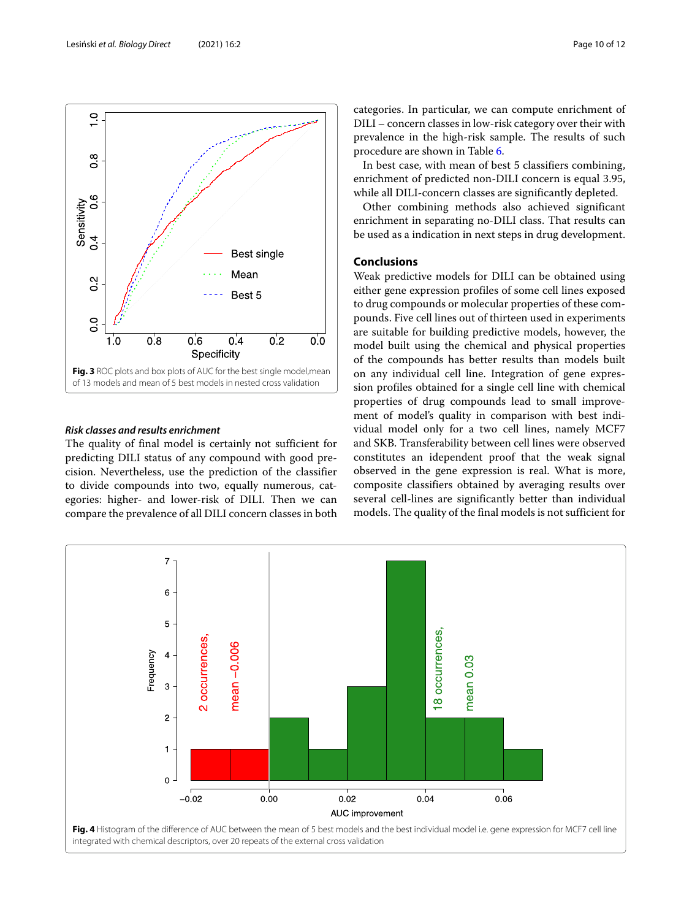

# <span id="page-9-0"></span>*Risk classes and results enrichment*

The quality of final model is certainly not sufficient for predicting DILI status of any compound with good precision. Nevertheless, use the prediction of the classifier to divide compounds into two, equally numerous, categories: higher- and lower-risk of DILI. Then we can compare the prevalence of all DILI concern classes in both categories. In particular, we can compute enrichment of DILI – concern classes in low-risk category over their with prevalence in the high-risk sample. The results of such procedure are shown in Table [6.](#page-10-16)

In best case, with mean of best 5 classifiers combining, enrichment of predicted non-DILI concern is equal 3.95, while all DILI-concern classes are significantly depleted.

Other combining methods also achieved significant enrichment in separating no-DILI class. That results can be used as a indication in next steps in drug development.

# **Conclusions**

Weak predictive models for DILI can be obtained using either gene expression profiles of some cell lines exposed to drug compounds or molecular properties of these compounds. Five cell lines out of thirteen used in experiments are suitable for building predictive models, however, the model built using the chemical and physical properties of the compounds has better results than models built on any individual cell line. Integration of gene expression profiles obtained for a single cell line with chemical properties of drug compounds lead to small improvement of model's quality in comparison with best individual model only for a two cell lines, namely MCF7 and SKB. Transferability between cell lines were observed constitutes an idependent proof that the weak signal observed in the gene expression is real. What is more, composite classifiers obtained by averaging results over several cell-lines are significantly better than individual models. The quality of the final models is not sufficient for

<span id="page-9-1"></span>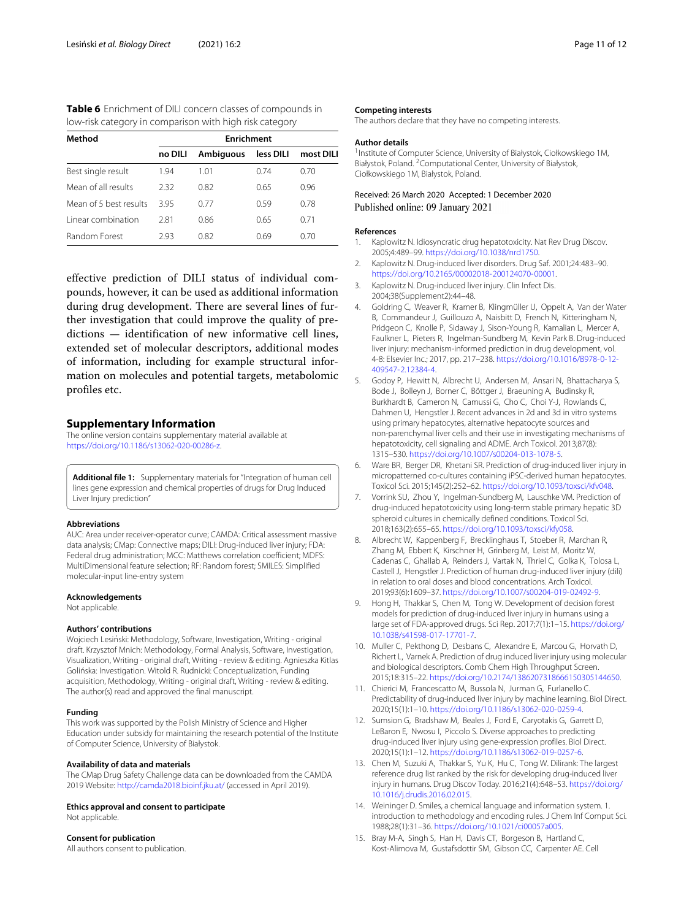<span id="page-10-16"></span>

| <b>Table 6</b> Enrichment of DILI concern classes of compounds in |  |
|-------------------------------------------------------------------|--|
| low-risk category in comparison with high risk category           |  |

| Method                 | <b>Enrichment</b> |                  |           |           |  |  |
|------------------------|-------------------|------------------|-----------|-----------|--|--|
|                        | no DILI           | <b>Ambiguous</b> | less DILI | most DILI |  |  |
| Best single result     | 1.94              | 1.01             | 0.74      | 0.70      |  |  |
| Mean of all results    | 2.32              | 0.82             | 0.65      | 0.96      |  |  |
| Mean of 5 best results | 395               | 0.77             | 0.59      | 0.78      |  |  |
| Linear combination     | 2.81              | 0.86             | 0.65      | 0.71      |  |  |
| <b>Random Forest</b>   | 293               | 0.82             | 0.69      | 0 70      |  |  |

effective prediction of DILI status of individual compounds, however, it can be used as additional information during drug development. There are several lines of further investigation that could improve the quality of predictions — identification of new informative cell lines, extended set of molecular descriptors, additional modes of information, including for example structural information on molecules and potential targets, metabolomic profiles etc.

## **Supplementary Information**

The online version contains supplementary material available at [https://doi.org/10.1186/s13062-020-00286-z.](https://doi.org/10.1186/s13062-020-00286-z)

<span id="page-10-15"></span>Additional file 1: Supplementary materials for "Integration of human cell lines gene expression and chemical properties of drugs for Drug Induced Liver Injury prediction"

#### **Abbreviations**

AUC: Area under receiver-operator curve; CAMDA: Critical assessment massive data analysis; CMap: Connective maps; DILI: Drug-induced liver injury; FDA: Federal drug administration; MCC: Matthews correlation coefficient; MDFS: MultiDimensional feature selection; RF: Random forest; SMILES: Simplified molecular-input line-entry system

#### **Acknowledgements**

Not applicable.

#### **Authors' contributions**

Wojciech Lesiński: Methodology, Software, Investigation, Writing - original draft. Krzysztof Mnich: Methodology, Formal Analysis, Software, Investigation, Visualization, Writing - original draft, Writing - review & editing. Agnieszka Kitlas Golińska: Investigation. Witold R. Rudnicki: Conceptualization, Funding acquisition, Methodology, Writing - original draft, Writing - review & editing. The author(s) read and approved the final manuscript.

#### **Funding**

This work was supported by the Polish Ministry of Science and Higher Education under subsidy for maintaining the research potential of the Institute of Computer Science, University of Białystok.

#### **Availability of data and materials**

The CMap Drug Safety Challenge data can be downloaded from the CAMDA 2019 Website: <http://camda2018.bioinf.jku.at/> (accessed in April 2019).

**Ethics approval and consent to participate** Not applicable.

#### **Consent for publication**

All authors consent to publication.

#### **Competing interests**

The authors declare that they have no competing interests.

#### **Author details**

<sup>1</sup> Institute of Computer Science, University of Białystok, Ciołkowskiego 1M, Białystok, Poland. 2Computational Center, University of Białystok, Ciołkowskiego 1M, Białystok, Poland.

# Received: 26 March 2020 Accepted: 1 December 2020 Published online: 09 January 2021

#### **References**

- <span id="page-10-0"></span>Kaplowitz N. Idiosyncratic drug hepatotoxicity. Nat Rev Drug Discov. 2005;4:489–99. [https://doi.org/10.1038/nrd1750.](https://doi.org/10.1038/nrd1750)
- <span id="page-10-1"></span>2. Kaplowitz N. Drug-induced liver disorders. Drug Saf. 2001;24:483–90. [https://doi.org/10.2165/00002018-200124070-00001.](https://doi.org/10.2165/00002018-200124070-00001)
- <span id="page-10-2"></span>3. Kaplowitz N. Drug-induced liver injury. Clin Infect Dis. 2004;38(Supplement2):44–48.
- <span id="page-10-3"></span>4. Goldring C, Weaver R, Kramer B, Klingmüller U, Oppelt A, Van der Water B, Commandeur J, Guillouzo A, Naisbitt D, French N, Kitteringham N, Pridgeon C, Knolle P, Sidaway J, Sison-Young R, Kamalian L, Mercer A, Faulkner L, Pieters R, Ingelman-Sundberg M, Kevin Park B. Drug-induced liver injury: mechanism-informed prediction in drug development, vol. 4-8: Elsevier Inc.; 2017, pp. 217–238. [https://doi.org/10.1016/B978-0-12-](https://doi.org/10.1016/B978-0-12-409547-2.12384-4) [409547-2.12384-4.](https://doi.org/10.1016/B978-0-12-409547-2.12384-4)
- <span id="page-10-4"></span>5. Godoy P, Hewitt N, Albrecht U, Andersen M, Ansari N, Bhattacharya S, Bode J, Bolleyn J, Borner C, Böttger J, Braeuning A, Budinsky R, Burkhardt B, Cameron N, Camussi G, Cho C, Choi Y-J, Rowlands C, Dahmen U, Hengstler J. Recent advances in 2d and 3d in vitro systems using primary hepatocytes, alternative hepatocyte sources and non-parenchymal liver cells and their use in investigating mechanisms of hepatotoxicity, cell signaling and ADME. Arch Toxicol. 2013;87(8): 1315–530. [https://doi.org/10.1007/s00204-013-1078-5.](https://doi.org/10.1007/s00204-013-1078-5)
- <span id="page-10-5"></span>6. Ware BR, Berger DR, Khetani SR. Prediction of drug-induced liver injury in micropatterned co-cultures containing iPSC-derived human hepatocytes. Toxicol Sci. 2015;145(2):252–62. [https://doi.org/10.1093/toxsci/kfv048.](https://doi.org/10.1093/toxsci/kfv048)
- <span id="page-10-6"></span>7. Vorrink SU, Zhou Y, Ingelman-Sundberg M, Lauschke VM. Prediction of drug-induced hepatotoxicity using long-term stable primary hepatic 3D spheroid cultures in chemically defined conditions. Toxicol Sci. 2018;163(2):655–65. [https://doi.org/10.1093/toxsci/kfy058.](https://doi.org/10.1093/toxsci/kfy058)
- <span id="page-10-7"></span>8. Albrecht W, Kappenberg F, Brecklinghaus T, Stoeber R, Marchan R, Zhang M, Ebbert K, Kirschner H, Grinberg M, Leist M, Moritz W, Cadenas C, Ghallab A, Reinders J, Vartak N, Thriel C, Golka K, Tolosa L, Castell J, Hengstler J. Prediction of human drug-induced liver injury (dili) in relation to oral doses and blood concentrations. Arch Toxicol. 2019;93(6):1609–37. [https://doi.org/10.1007/s00204-019-02492-9.](https://doi.org/10.1007/s00204-019-02492-9)
- <span id="page-10-8"></span>9. Hong H, Thakkar S, Chen M, Tong W. Development of decision forest models for prediction of drug-induced liver injury in humans using a large set of FDA-approved drugs. Sci Rep. 2017;7(1):1–15. [https://doi.org/](https://doi.org/10.1038/s41598-017-17701-7) [10.1038/s41598-017-17701-7.](https://doi.org/10.1038/s41598-017-17701-7)
- <span id="page-10-9"></span>10. Muller C, Pekthong D, Desbans C, Alexandre E, Marcou G, Horvath D, Richert L, Varnek A. Prediction of drug induced liver injury using molecular and biological descriptors. Comb Chem High Throughput Screen. 2015;18:315–22. [https://doi.org/10.2174/1386207318666150305144650.](https://doi.org/10.2174/1386207318666150305144650)
- <span id="page-10-10"></span>11. Chierici M, Francescatto M, Bussola N, Jurman G, Furlanello C. Predictability of drug-induced liver injury by machine learning. Biol Direct. 2020;15(1):1–10. [https://doi.org/10.1186/s13062-020-0259-4.](https://doi.org/10.1186/s13062-020-0259-4)
- <span id="page-10-11"></span>12. Sumsion G, Bradshaw M, Beales J, Ford E, Caryotakis G, Garrett D, LeBaron E, Nwosu I, Piccolo S. Diverse approaches to predicting drug-induced liver injury using gene-expression profiles. Biol Direct. 2020;15(1):1–12. [https://doi.org/10.1186/s13062-019-0257-6.](https://doi.org/10.1186/s13062-019-0257-6)
- <span id="page-10-12"></span>13. Chen M, Suzuki A, Thakkar S, Yu K, Hu C, Tong W. Dilirank: The largest reference drug list ranked by the risk for developing drug-induced liver injury in humans. Drug Discov Today. 2016;21(4):648–53. [https://doi.org/](https://doi.org/10.1016/j.drudis.2016.02.015) [10.1016/j.drudis.2016.02.015.](https://doi.org/10.1016/j.drudis.2016.02.015)
- <span id="page-10-13"></span>14. Weininger D. Smiles, a chemical language and information system. 1. introduction to methodology and encoding rules. J Chem Inf Comput Sci. 1988;28(1):31–36. [https://doi.org/10.1021/ci00057a005.](https://doi.org/10.1021/ci00057a005)
- <span id="page-10-14"></span>15. Bray M-A, Singh S, Han H, Davis CT, Borgeson B, Hartland C, Kost-Alimova M, Gustafsdottir SM, Gibson CC, Carpenter AE. Cell